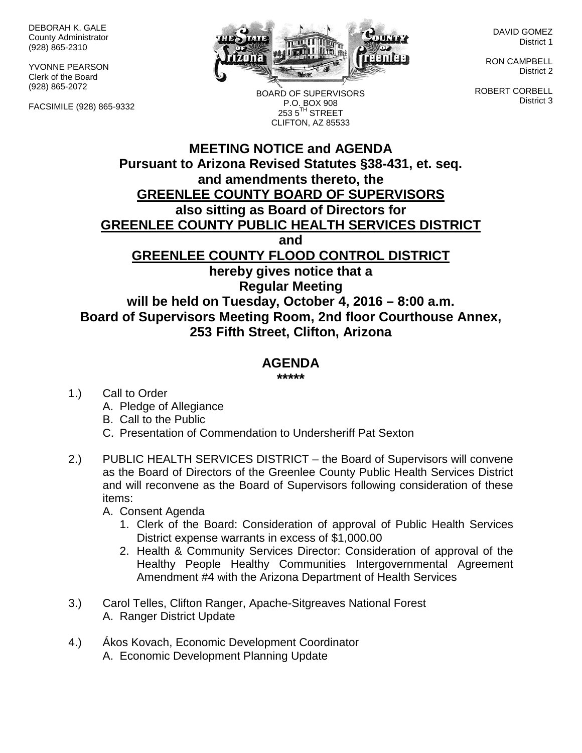DEBORAH K. GALE County Administrator (928) 865-2310

YVONNE PEARSON Clerk of the Board (928) 865-2072

FACSIMILE (928) 865-9332



BOARD OF SUPERVISORS P.O. BOX 908 253 5<sup>TH</sup> STREET CLIFTON, AZ 85533

DAVID GOMEZ District 1

RON CAMPBELL District 2

ROBERT CORBELL District 3

## **MEETING NOTICE and AGENDA Pursuant to Arizona Revised Statutes §38-431, et. seq. and amendments thereto, the GREENLEE COUNTY BOARD OF SUPERVISORS also sitting as Board of Directors for GREENLEE COUNTY PUBLIC HEALTH SERVICES DISTRICT and GREENLEE COUNTY FLOOD CONTROL DISTRICT hereby gives notice that a Regular Meeting will be held on Tuesday, October 4, 2016 – 8:00 a.m. Board of Supervisors Meeting Room, 2nd floor Courthouse Annex, 253 Fifth Street, Clifton, Arizona**

## **AGENDA**

**\*\*\*\*\***

1.) Call to Order

- A. Pledge of Allegiance
- B. Call to the Public
- C. Presentation of Commendation to Undersheriff Pat Sexton
- 2.) PUBLIC HEALTH SERVICES DISTRICT the Board of Supervisors will convene as the Board of Directors of the Greenlee County Public Health Services District and will reconvene as the Board of Supervisors following consideration of these items:
	- A. Consent Agenda
		- 1. Clerk of the Board: Consideration of approval of Public Health Services District expense warrants in excess of \$1,000.00
		- 2. Health & Community Services Director: Consideration of approval of the Healthy People Healthy Communities Intergovernmental Agreement Amendment #4 with the Arizona Department of Health Services
- 3.) Carol Telles, Clifton Ranger, Apache-Sitgreaves National Forest A. Ranger District Update
- 4.) Ákos Kovach, Economic Development Coordinator A. Economic Development Planning Update